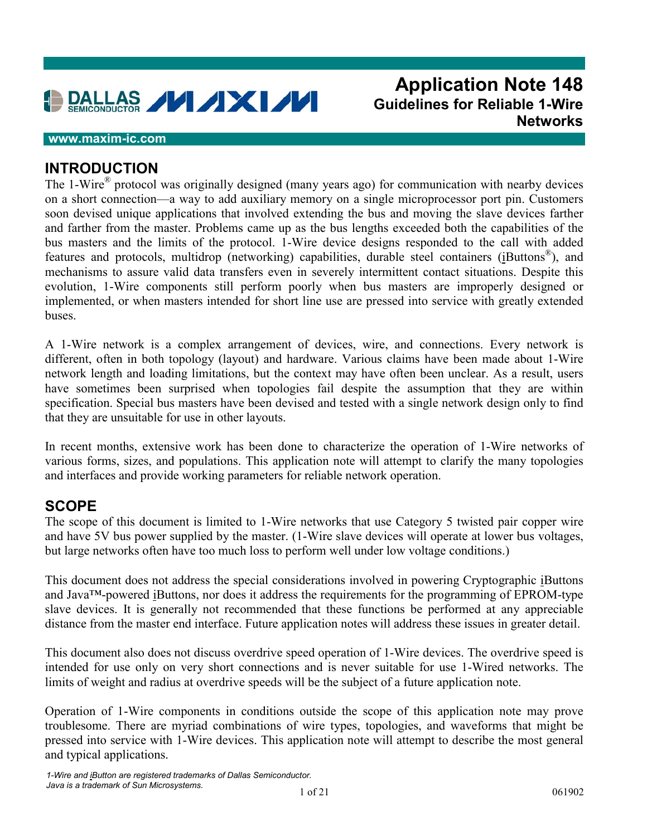

# **Application Note 148 Guidelines for Reliable 1-Wire Networks**

#### **www.maxim-ic.com**

#### **INTRODUCTION**

The 1-Wire<sup>®</sup> protocol was originally designed (many years ago) for communication with nearby devices on a short connection—a way to add auxiliary memory on a single microprocessor port pin. Customers soon devised unique applications that involved extending the bus and moving the slave devices farther and farther from the master. Problems came up as the bus lengths exceeded both the capabilities of the bus masters and the limits of the protocol. 1-Wire device designs responded to the call with added features and protocols, multidrop (networking) capabilities, durable steel containers (iButtons®), and mechanisms to assure valid data transfers even in severely intermittent contact situations. Despite this evolution, 1-Wire components still perform poorly when bus masters are improperly designed or implemented, or when masters intended for short line use are pressed into service with greatly extended buses.

A 1-Wire network is a complex arrangement of devices, wire, and connections. Every network is different, often in both topology (layout) and hardware. Various claims have been made about 1-Wire network length and loading limitations, but the context may have often been unclear. As a result, users have sometimes been surprised when topologies fail despite the assumption that they are within specification. Special bus masters have been devised and tested with a single network design only to find that they are unsuitable for use in other layouts.

In recent months, extensive work has been done to characterize the operation of 1-Wire networks of various forms, sizes, and populations. This application note will attempt to clarify the many topologies and interfaces and provide working parameters for reliable network operation.

## **SCOPE**

The scope of this document is limited to 1-Wire networks that use Category 5 twisted pair copper wire and have 5V bus power supplied by the master. (1-Wire slave devices will operate at lower bus voltages, but large networks often have too much loss to perform well under low voltage conditions.)

This document does not address the special considerations involved in powering Cryptographic iButtons and Java™-powered iButtons, nor does it address the requirements for the programming of EPROM-type slave devices. It is generally not recommended that these functions be performed at any appreciable distance from the master end interface. Future application notes will address these issues in greater detail.

This document also does not discuss overdrive speed operation of 1-Wire devices. The overdrive speed is intended for use only on very short connections and is never suitable for use 1-Wired networks. The limits of weight and radius at overdrive speeds will be the subject of a future application note.

Operation of 1-Wire components in conditions outside the scope of this application note may prove troublesome. There are myriad combinations of wire types, topologies, and waveforms that might be pressed into service with 1-Wire devices. This application note will attempt to describe the most general and typical applications.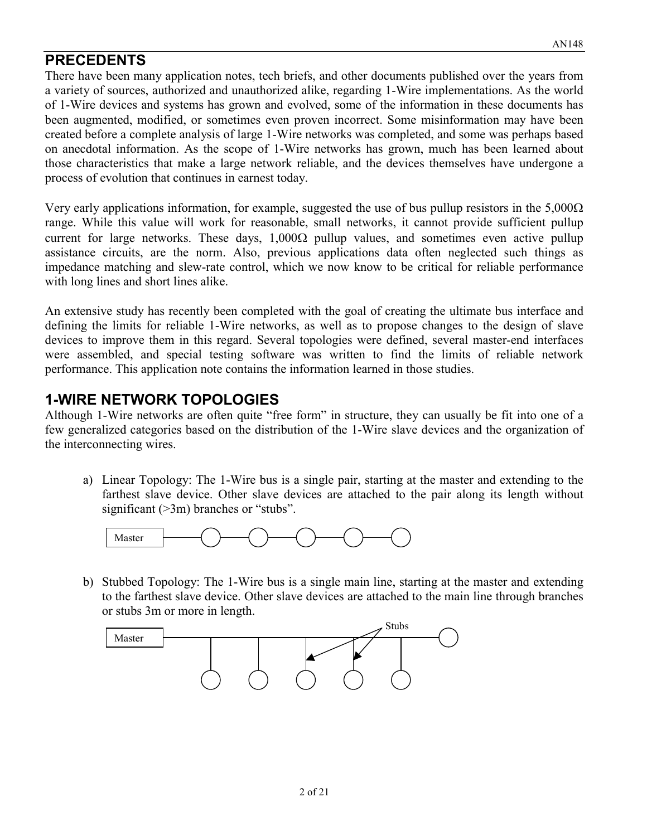## **PRECEDENTS**

There have been many application notes, tech briefs, and other documents published over the years from a variety of sources, authorized and unauthorized alike, regarding 1-Wire implementations. As the world of 1-Wire devices and systems has grown and evolved, some of the information in these documents has been augmented, modified, or sometimes even proven incorrect. Some misinformation may have been created before a complete analysis of large 1-Wire networks was completed, and some was perhaps based on anecdotal information. As the scope of 1-Wire networks has grown, much has been learned about those characteristics that make a large network reliable, and the devices themselves have undergone a process of evolution that continues in earnest today.

Very early applications information, for example, suggested the use of bus pullup resistors in the  $5,000\Omega$ range. While this value will work for reasonable, small networks, it cannot provide sufficient pullup current for large networks. These days,  $1,000\Omega$  pullup values, and sometimes even active pullup assistance circuits, are the norm. Also, previous applications data often neglected such things as impedance matching and slew-rate control, which we now know to be critical for reliable performance with long lines and short lines alike.

An extensive study has recently been completed with the goal of creating the ultimate bus interface and defining the limits for reliable 1-Wire networks, as well as to propose changes to the design of slave devices to improve them in this regard. Several topologies were defined, several master-end interfaces were assembled, and special testing software was written to find the limits of reliable network performance. This application note contains the information learned in those studies.

## **1-WIRE NETWORK TOPOLOGIES**

Although 1-Wire networks are often quite "free form" in structure, they can usually be fit into one of a few generalized categories based on the distribution of the 1-Wire slave devices and the organization of the interconnecting wires.

a) Linear Topology: The 1-Wire bus is a single pair, starting at the master and extending to the farthest slave device. Other slave devices are attached to the pair along its length without significant (>3m) branches or "stubs".



b) Stubbed Topology: The 1-Wire bus is a single main line, starting at the master and extending to the farthest slave device. Other slave devices are attached to the main line through branches or stubs 3m or more in length.

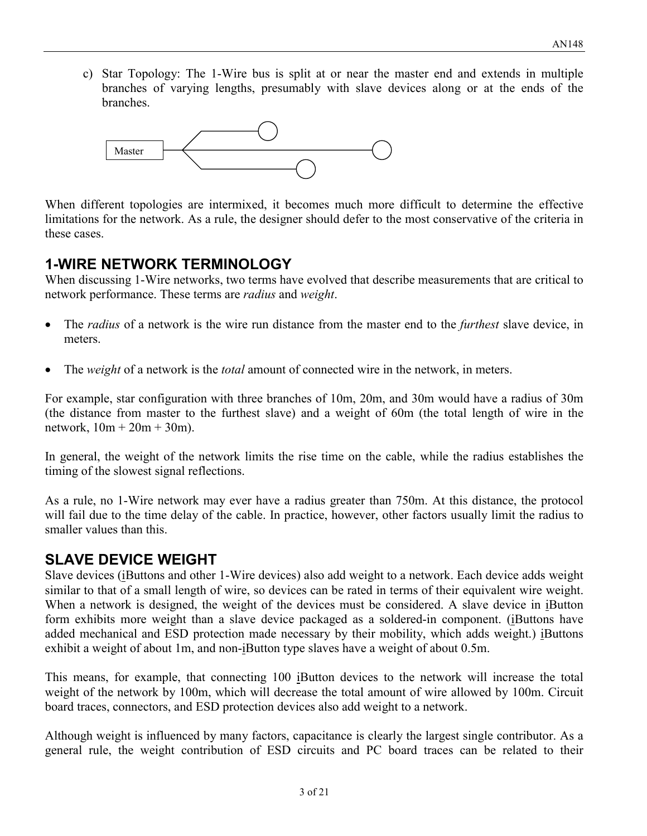c) Star Topology: The 1-Wire bus is split at or near the master end and extends in multiple branches of varying lengths, presumably with slave devices along or at the ends of the branches.



When different topologies are intermixed, it becomes much more difficult to determine the effective limitations for the network. As a rule, the designer should defer to the most conservative of the criteria in these cases.

## **1-WIRE NETWORK TERMINOLOGY**

When discussing 1-Wire networks, two terms have evolved that describe measurements that are critical to network performance. These terms are *radius* and *weight*.

- $\bullet$  The *radius* of a network is the wire run distance from the master end to the *furthest* slave device, in meters.
- $\bullet$ The *weight* of a network is the *total* amount of connected wire in the network, in meters.

For example, star configuration with three branches of 10m, 20m, and 30m would have a radius of 30m (the distance from master to the furthest slave) and a weight of 60m (the total length of wire in the network,  $10m + 20m + 30m$ ).

In general, the weight of the network limits the rise time on the cable, while the radius establishes the timing of the slowest signal reflections.

As a rule, no 1-Wire network may ever have a radius greater than 750m. At this distance, the protocol will fail due to the time delay of the cable. In practice, however, other factors usually limit the radius to smaller values than this.

## **SLAVE DEVICE WEIGHT**

Slave devices (iButtons and other 1-Wire devices) also add weight to a network. Each device adds weight similar to that of a small length of wire, so devices can be rated in terms of their equivalent wire weight. When a network is designed, the weight of the devices must be considered. A slave device in iButton form exhibits more weight than a slave device packaged as a soldered-in component. (iButtons have added mechanical and ESD protection made necessary by their mobility, which adds weight.) iButtons exhibit a weight of about 1m, and non-iButton type slaves have a weight of about 0.5m.

This means, for example, that connecting 100 iButton devices to the network will increase the total weight of the network by 100m, which will decrease the total amount of wire allowed by 100m. Circuit board traces, connectors, and ESD protection devices also add weight to a network.

Although weight is influenced by many factors, capacitance is clearly the largest single contributor. As a general rule, the weight contribution of ESD circuits and PC board traces can be related to their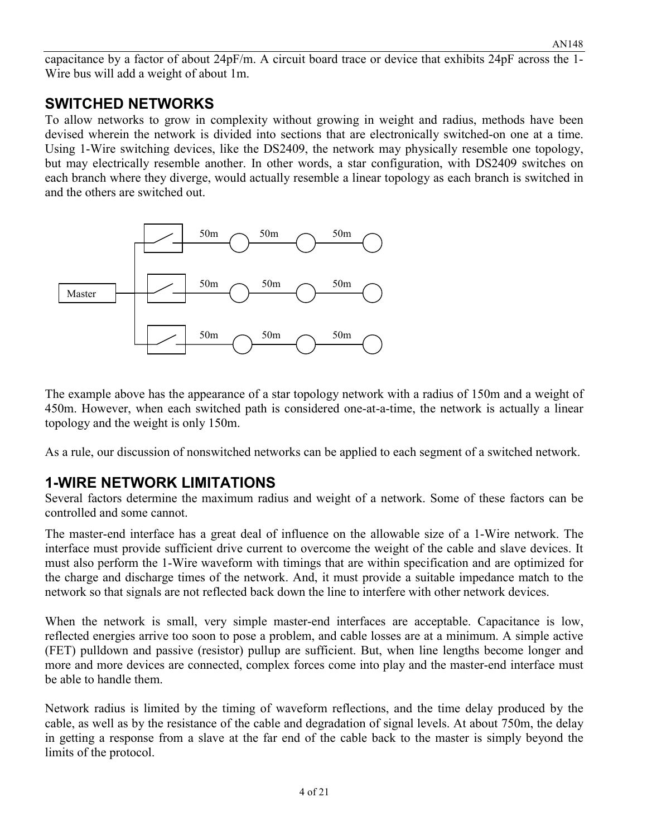capacitance by a factor of about 24pF/m. A circuit board trace or device that exhibits 24pF across the 1- Wire bus will add a weight of about 1m.

## **SWITCHED NETWORKS**

To allow networks to grow in complexity without growing in weight and radius, methods have been devised wherein the network is divided into sections that are electronically switched-on one at a time. Using 1-Wire switching devices, like the DS2409, the network may physically resemble one topology, but may electrically resemble another. In other words, a star configuration, with DS2409 switches on each branch where they diverge, would actually resemble a linear topology as each branch is switched in and the others are switched out.



The example above has the appearance of a star topology network with a radius of 150m and a weight of 450m. However, when each switched path is considered one-at-a-time, the network is actually a linear topology and the weight is only 150m.

As a rule, our discussion of nonswitched networks can be applied to each segment of a switched network.

# **1-WIRE NETWORK LIMITATIONS**

Several factors determine the maximum radius and weight of a network. Some of these factors can be controlled and some cannot.

The master-end interface has a great deal of influence on the allowable size of a 1-Wire network. The interface must provide sufficient drive current to overcome the weight of the cable and slave devices. It must also perform the 1-Wire waveform with timings that are within specification and are optimized for the charge and discharge times of the network. And, it must provide a suitable impedance match to the network so that signals are not reflected back down the line to interfere with other network devices.

When the network is small, very simple master-end interfaces are acceptable. Capacitance is low, reflected energies arrive too soon to pose a problem, and cable losses are at a minimum. A simple active (FET) pulldown and passive (resistor) pullup are sufficient. But, when line lengths become longer and more and more devices are connected, complex forces come into play and the master-end interface must be able to handle them.

Network radius is limited by the timing of waveform reflections, and the time delay produced by the cable, as well as by the resistance of the cable and degradation of signal levels. At about 750m, the delay in getting a response from a slave at the far end of the cable back to the master is simply beyond the limits of the protocol.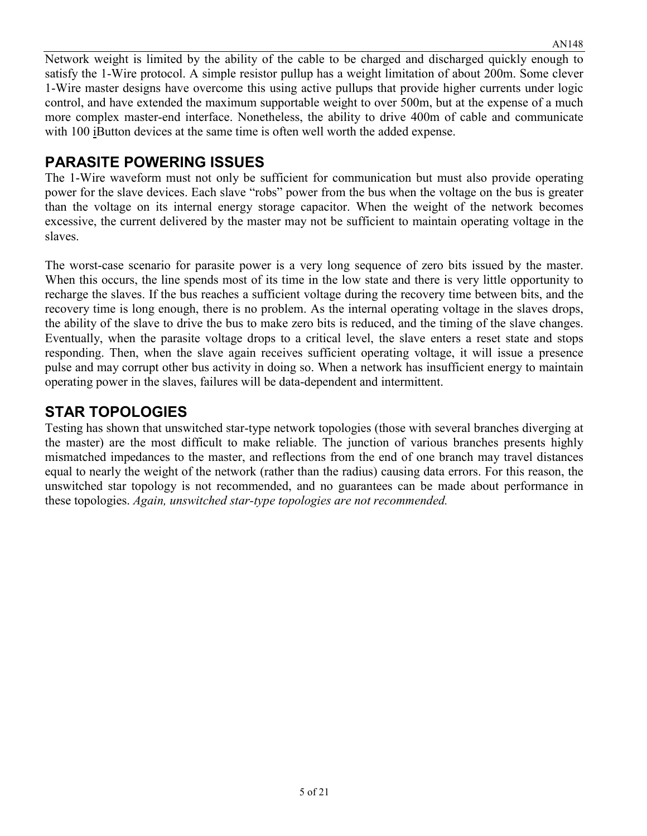Network weight is limited by the ability of the cable to be charged and discharged quickly enough to satisfy the 1-Wire protocol. A simple resistor pullup has a weight limitation of about 200m. Some clever 1-Wire master designs have overcome this using active pullups that provide higher currents under logic control, and have extended the maximum supportable weight to over 500m, but at the expense of a much more complex master-end interface. Nonetheless, the ability to drive 400m of cable and communicate with 100 iButton devices at the same time is often well worth the added expense.

## **PARASITE POWERING ISSUES**

The 1-Wire waveform must not only be sufficient for communication but must also provide operating power for the slave devices. Each slave "robs" power from the bus when the voltage on the bus is greater than the voltage on its internal energy storage capacitor. When the weight of the network becomes excessive, the current delivered by the master may not be sufficient to maintain operating voltage in the slaves.

The worst-case scenario for parasite power is a very long sequence of zero bits issued by the master. When this occurs, the line spends most of its time in the low state and there is very little opportunity to recharge the slaves. If the bus reaches a sufficient voltage during the recovery time between bits, and the recovery time is long enough, there is no problem. As the internal operating voltage in the slaves drops, the ability of the slave to drive the bus to make zero bits is reduced, and the timing of the slave changes. Eventually, when the parasite voltage drops to a critical level, the slave enters a reset state and stops responding. Then, when the slave again receives sufficient operating voltage, it will issue a presence pulse and may corrupt other bus activity in doing so. When a network has insufficient energy to maintain operating power in the slaves, failures will be data-dependent and intermittent.

## **STAR TOPOLOGIES**

Testing has shown that unswitched star-type network topologies (those with several branches diverging at the master) are the most difficult to make reliable. The junction of various branches presents highly mismatched impedances to the master, and reflections from the end of one branch may travel distances equal to nearly the weight of the network (rather than the radius) causing data errors. For this reason, the unswitched star topology is not recommended, and no guarantees can be made about performance in these topologies. *Again, unswitched star-type topologies are not recommended.*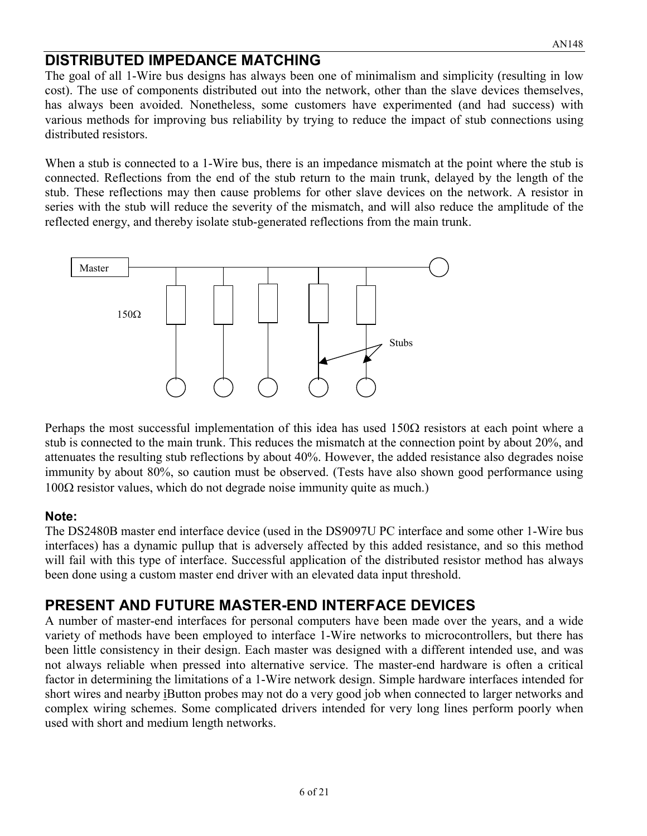## **DISTRIBUTED IMPEDANCE MATCHING**

The goal of all 1-Wire bus designs has always been one of minimalism and simplicity (resulting in low cost). The use of components distributed out into the network, other than the slave devices themselves, has always been avoided. Nonetheless, some customers have experimented (and had success) with various methods for improving bus reliability by trying to reduce the impact of stub connections using distributed resistors.

When a stub is connected to a 1-Wire bus, there is an impedance mismatch at the point where the stub is connected. Reflections from the end of the stub return to the main trunk, delayed by the length of the stub. These reflections may then cause problems for other slave devices on the network. A resistor in series with the stub will reduce the severity of the mismatch, and will also reduce the amplitude of the reflected energy, and thereby isolate stub-generated reflections from the main trunk.



Perhaps the most successful implementation of this idea has used  $150\Omega$  resistors at each point where a stub is connected to the main trunk. This reduces the mismatch at the connection point by about 20%, and attenuates the resulting stub reflections by about 40%. However, the added resistance also degrades noise immunity by about 80%, so caution must be observed. (Tests have also shown good performance using  $100\Omega$  resistor values, which do not degrade noise immunity quite as much.)

#### **Note:**

The DS2480B master end interface device (used in the DS9097U PC interface and some other 1-Wire bus interfaces) has a dynamic pullup that is adversely affected by this added resistance, and so this method will fail with this type of interface. Successful application of the distributed resistor method has always been done using a custom master end driver with an elevated data input threshold.

## **PRESENT AND FUTURE MASTER-END INTERFACE DEVICES**

A number of master-end interfaces for personal computers have been made over the years, and a wide variety of methods have been employed to interface 1-Wire networks to microcontrollers, but there has been little consistency in their design. Each master was designed with a different intended use, and was not always reliable when pressed into alternative service. The master-end hardware is often a critical factor in determining the limitations of a 1-Wire network design. Simple hardware interfaces intended for short wires and nearby iButton probes may not do a very good job when connected to larger networks and complex wiring schemes. Some complicated drivers intended for very long lines perform poorly when used with short and medium length networks.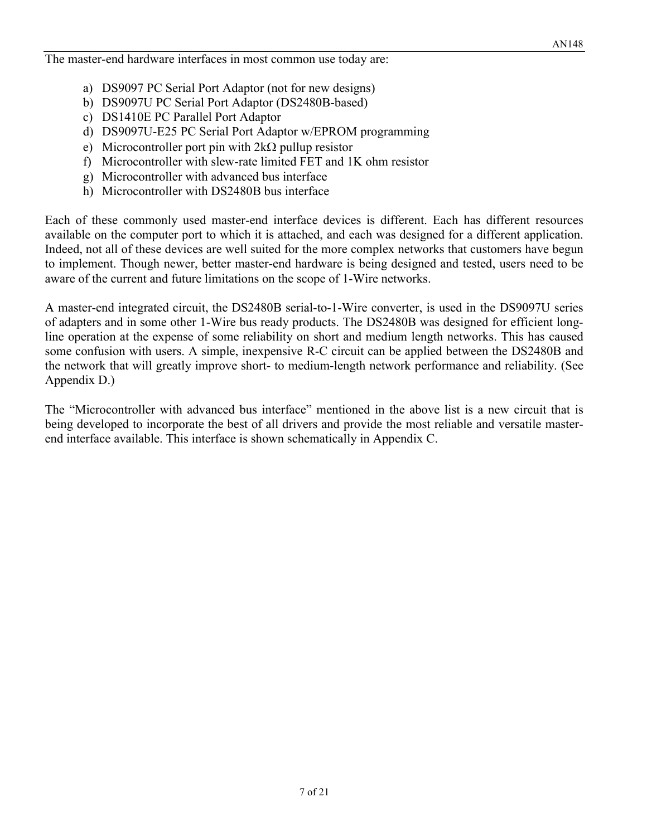The master-end hardware interfaces in most common use today are:

- a) DS9097 PC Serial Port Adaptor (not for new designs)
- b) DS9097U PC Serial Port Adaptor (DS2480B-based)
- c) DS1410E PC Parallel Port Adaptor
- d) DS9097U-E25 PC Serial Port Adaptor w/EPROM programming
- e) Microcontroller port pin with  $2k\Omega$  pullup resistor
- f) Microcontroller with slew-rate limited FET and 1K ohm resistor
- g) Microcontroller with advanced bus interface
- h) Microcontroller with DS2480B bus interface

Each of these commonly used master-end interface devices is different. Each has different resources available on the computer port to which it is attached, and each was designed for a different application. Indeed, not all of these devices are well suited for the more complex networks that customers have begun to implement. Though newer, better master-end hardware is being designed and tested, users need to be aware of the current and future limitations on the scope of 1-Wire networks.

A master-end integrated circuit, the DS2480B serial-to-1-Wire converter, is used in the DS9097U series of adapters and in some other 1-Wire bus ready products. The DS2480B was designed for efficient longline operation at the expense of some reliability on short and medium length networks. This has caused some confusion with users. A simple, inexpensive R-C circuit can be applied between the DS2480B and the network that will greatly improve short- to medium-length network performance and reliability. (See Appendix D.)

The "Microcontroller with advanced bus interface" mentioned in the above list is a new circuit that is being developed to incorporate the best of all drivers and provide the most reliable and versatile masterend interface available. This interface is shown schematically in Appendix C.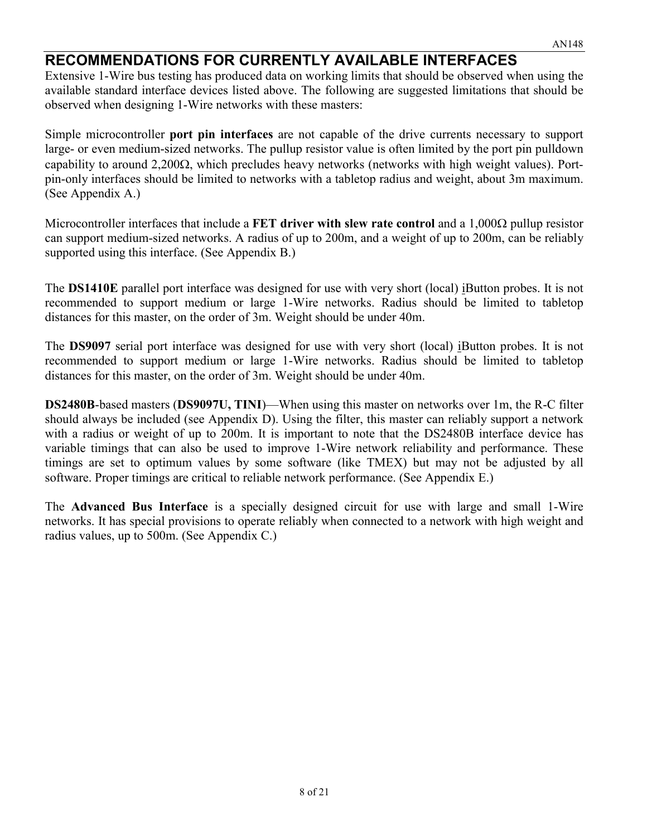## **RECOMMENDATIONS FOR CURRENTLY AVAILABLE INTERFACES**

Extensive 1-Wire bus testing has produced data on working limits that should be observed when using the available standard interface devices listed above. The following are suggested limitations that should be observed when designing 1-Wire networks with these masters:

Simple microcontroller **port pin interfaces** are not capable of the drive currents necessary to support large- or even medium-sized networks. The pullup resistor value is often limited by the port pin pulldown capability to around  $2,200\Omega$ , which precludes heavy networks (networks with high weight values). Portpin-only interfaces should be limited to networks with a tabletop radius and weight, about 3m maximum. (See Appendix A.)

Microcontroller interfaces that include a **FET driver with slew rate control** and a 1,000 $\Omega$  pullup resistor can support medium-sized networks. A radius of up to 200m, and a weight of up to 200m, can be reliably supported using this interface. (See Appendix B.)

The **DS1410E** parallel port interface was designed for use with very short (local) iButton probes. It is not recommended to support medium or large 1-Wire networks. Radius should be limited to tabletop distances for this master, on the order of 3m. Weight should be under 40m.

The **DS9097** serial port interface was designed for use with very short (local) iButton probes. It is not recommended to support medium or large 1-Wire networks. Radius should be limited to tabletop distances for this master, on the order of 3m. Weight should be under 40m.

**DS2480B**-based masters (**DS9097U, TINI**)—When using this master on networks over 1m, the R-C filter should always be included (see Appendix D). Using the filter, this master can reliably support a network with a radius or weight of up to 200m. It is important to note that the DS2480B interface device has variable timings that can also be used to improve 1-Wire network reliability and performance. These timings are set to optimum values by some software (like TMEX) but may not be adjusted by all software. Proper timings are critical to reliable network performance. (See Appendix E.)

The **Advanced Bus Interface** is a specially designed circuit for use with large and small 1-Wire networks. It has special provisions to operate reliably when connected to a network with high weight and radius values, up to 500m. (See Appendix C.)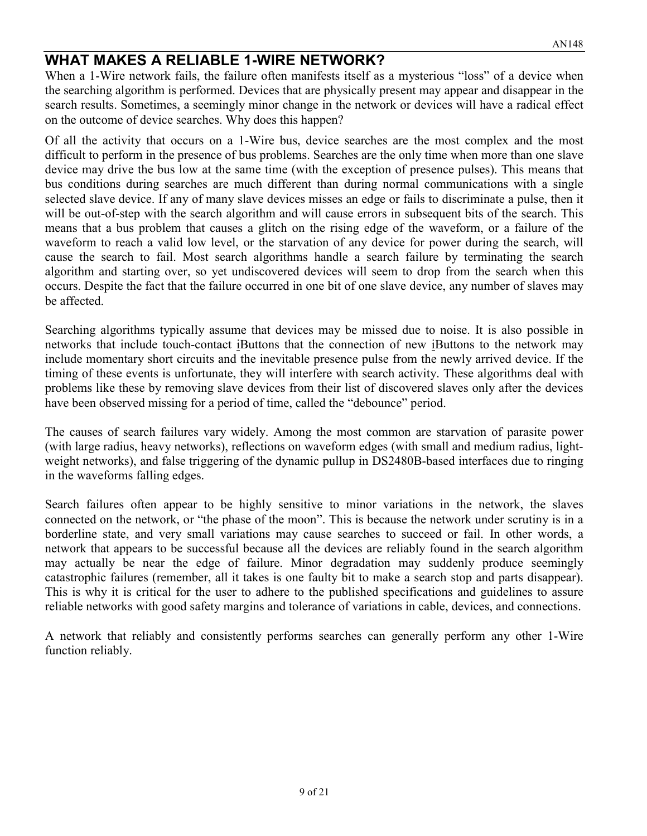## **WHAT MAKES A RELIABLE 1-WIRE NETWORK?**

When a 1-Wire network fails, the failure often manifests itself as a mysterious "loss" of a device when the searching algorithm is performed. Devices that are physically present may appear and disappear in the search results. Sometimes, a seemingly minor change in the network or devices will have a radical effect on the outcome of device searches. Why does this happen?

Of all the activity that occurs on a 1-Wire bus, device searches are the most complex and the most difficult to perform in the presence of bus problems. Searches are the only time when more than one slave device may drive the bus low at the same time (with the exception of presence pulses). This means that bus conditions during searches are much different than during normal communications with a single selected slave device. If any of many slave devices misses an edge or fails to discriminate a pulse, then it will be out-of-step with the search algorithm and will cause errors in subsequent bits of the search. This means that a bus problem that causes a glitch on the rising edge of the waveform, or a failure of the waveform to reach a valid low level, or the starvation of any device for power during the search, will cause the search to fail. Most search algorithms handle a search failure by terminating the search algorithm and starting over, so yet undiscovered devices will seem to drop from the search when this occurs. Despite the fact that the failure occurred in one bit of one slave device, any number of slaves may be affected.

Searching algorithms typically assume that devices may be missed due to noise. It is also possible in networks that include touch-contact iButtons that the connection of new iButtons to the network may include momentary short circuits and the inevitable presence pulse from the newly arrived device. If the timing of these events is unfortunate, they will interfere with search activity. These algorithms deal with problems like these by removing slave devices from their list of discovered slaves only after the devices have been observed missing for a period of time, called the "debounce" period.

The causes of search failures vary widely. Among the most common are starvation of parasite power (with large radius, heavy networks), reflections on waveform edges (with small and medium radius, lightweight networks), and false triggering of the dynamic pullup in DS2480B-based interfaces due to ringing in the waveforms falling edges.

Search failures often appear to be highly sensitive to minor variations in the network, the slaves connected on the network, or "the phase of the moon". This is because the network under scrutiny is in a borderline state, and very small variations may cause searches to succeed or fail. In other words, a network that appears to be successful because all the devices are reliably found in the search algorithm may actually be near the edge of failure. Minor degradation may suddenly produce seemingly catastrophic failures (remember, all it takes is one faulty bit to make a search stop and parts disappear). This is why it is critical for the user to adhere to the published specifications and guidelines to assure reliable networks with good safety margins and tolerance of variations in cable, devices, and connections.

A network that reliably and consistently performs searches can generally perform any other 1-Wire function reliably.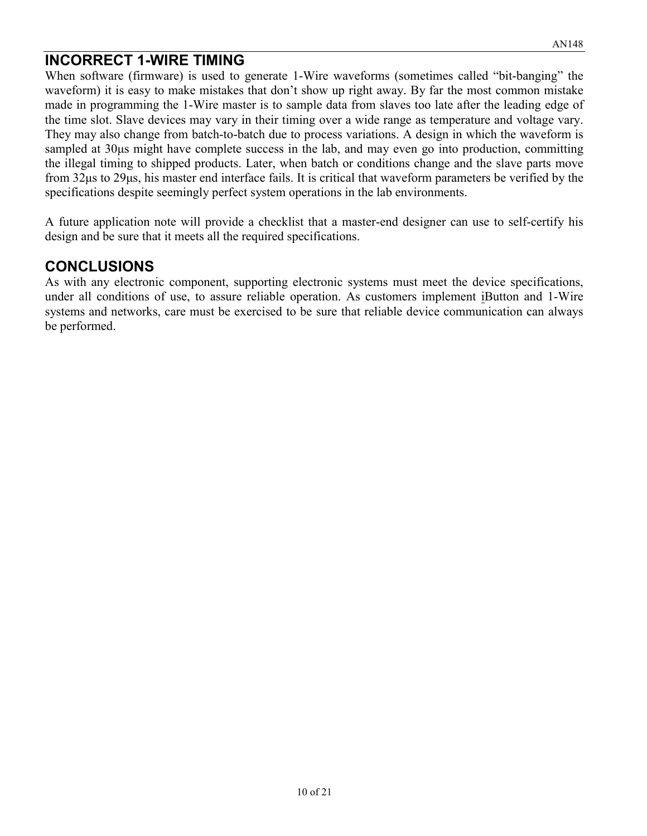## **INCORRECT 1-WIRE TIMING**

When software (firmware) is used to generate 1-Wire waveforms (sometimes called "bit-banging" the waveform) it is easy to make mistakes that don't show up right away. By far the most common mistake made in programming the 1-Wire master is to sample data from slaves too late after the leading edge of the time slot. Slave devices may vary in their timing over a wide range as temperature and voltage vary. They may also change from batch-to-batch due to process variations. A design in which the waveform is sampled at 30 $\mu$ s might have complete success in the lab, and may even go into production, committing the illegal timing to shipped products. Later, when batch or conditions change and the slave parts move from 32µs to 29µs, his master end interface fails. It is critical that waveform parameters be verified by the specifications despite seemingly perfect system operations in the lab environments.

A future application note will provide a checklist that a master-end designer can use to self-certify his design and be sure that it meets all the required specifications.

## **CONCLUSIONS**

As with any electronic component, supporting electronic systems must meet the device specifications, under all conditions of use, to assure reliable operation. As customers implement iButton and 1-Wire systems and networks, care must be exercised to be sure that reliable device communication can always be performed.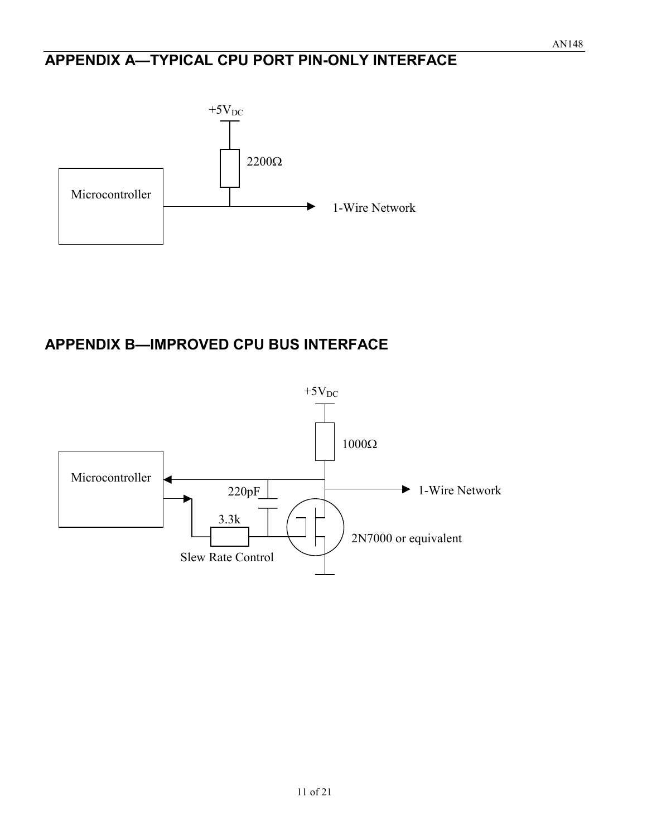## **APPENDIX A—TYPICAL CPU PORT PIN-ONLY INTERFACE**



# **APPENDIX B—IMPROVED CPU BUS INTERFACE**

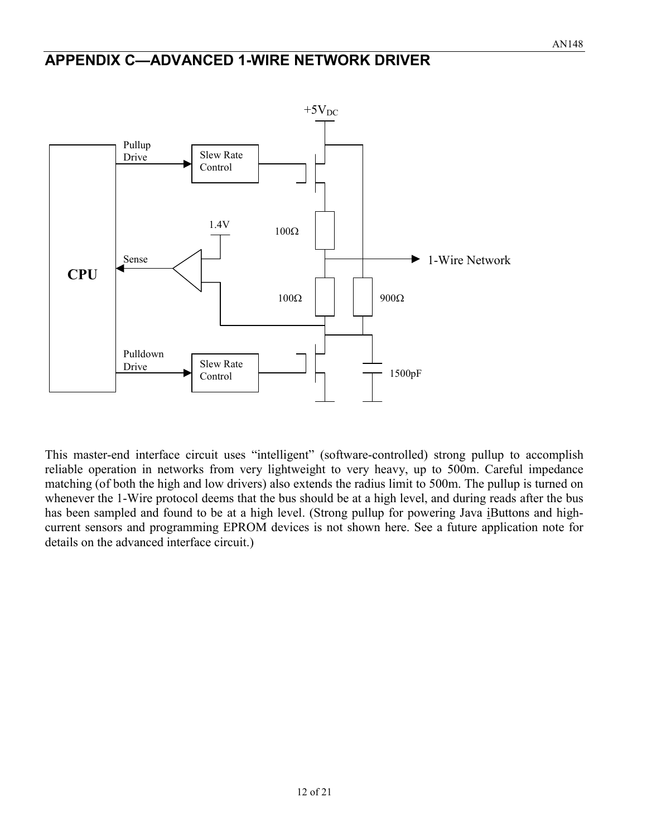#### **APPENDIX C—ADVANCED 1-WIRE NETWORK DRIVER**



This master-end interface circuit uses "intelligent" (software-controlled) strong pullup to accomplish reliable operation in networks from very lightweight to very heavy, up to 500m. Careful impedance matching (of both the high and low drivers) also extends the radius limit to 500m. The pullup is turned on whenever the 1-Wire protocol deems that the bus should be at a high level, and during reads after the bus has been sampled and found to be at a high level. (Strong pullup for powering Java iButtons and highcurrent sensors and programming EPROM devices is not shown here. See a future application note for details on the advanced interface circuit.)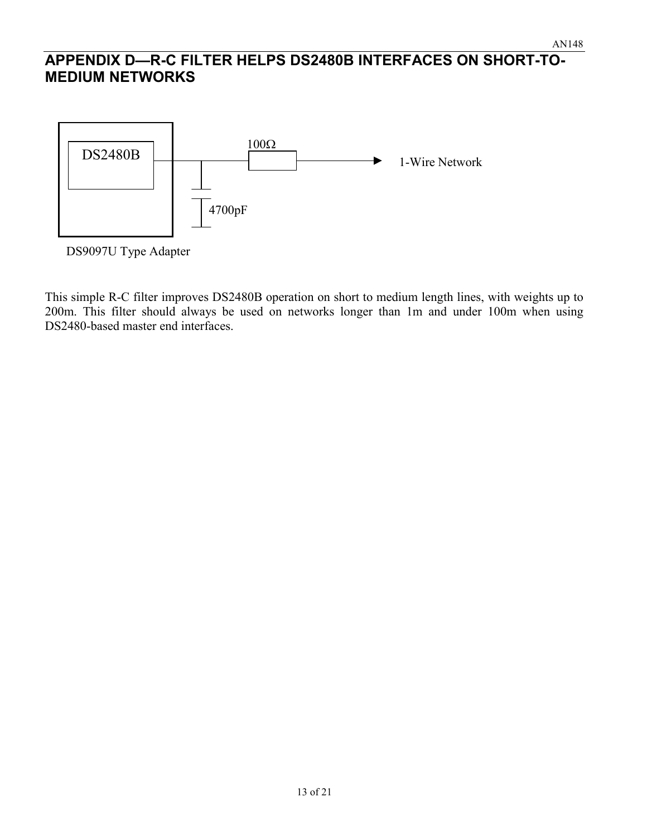## **APPENDIX D—R-C FILTER HELPS DS2480B INTERFACES ON SHORT-TO-MEDIUM NETWORKS**



DS9097U Type Adapter

This simple R-C filter improves DS2480B operation on short to medium length lines, with weights up to 200m. This filter should always be used on networks longer than 1m and under 100m when using DS2480-based master end interfaces.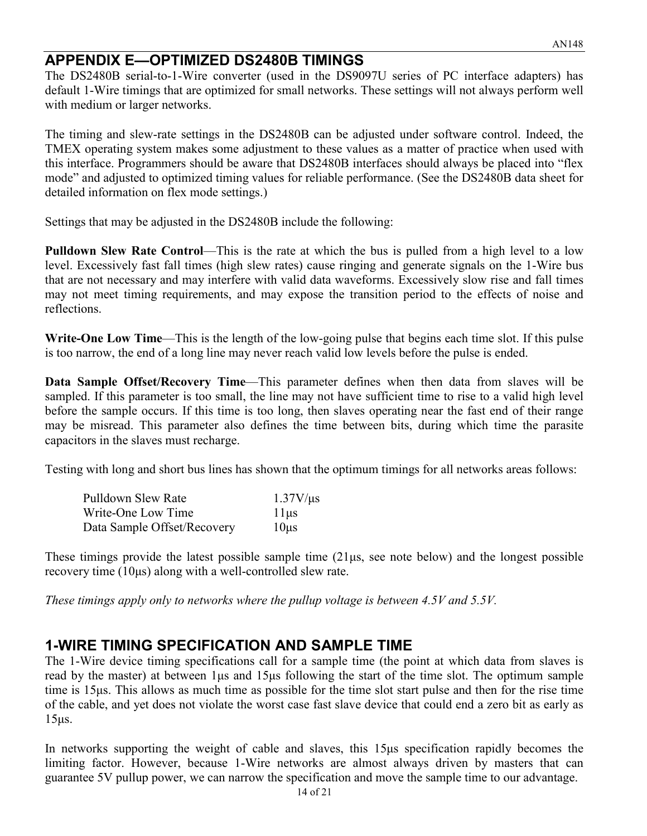## **APPENDIX E—OPTIMIZED DS2480B TIMINGS**

The DS2480B serial-to-1-Wire converter (used in the DS9097U series of PC interface adapters) has default 1-Wire timings that are optimized for small networks. These settings will not always perform well with medium or larger networks.

The timing and slew-rate settings in the DS2480B can be adjusted under software control. Indeed, the TMEX operating system makes some adjustment to these values as a matter of practice when used with this interface. Programmers should be aware that DS2480B interfaces should always be placed into "flex mode" and adjusted to optimized timing values for reliable performance. (See the DS2480B data sheet for detailed information on flex mode settings.)

Settings that may be adjusted in the DS2480B include the following:

**Pulldown Slew Rate Control**—This is the rate at which the bus is pulled from a high level to a low level. Excessively fast fall times (high slew rates) cause ringing and generate signals on the 1-Wire bus that are not necessary and may interfere with valid data waveforms. Excessively slow rise and fall times may not meet timing requirements, and may expose the transition period to the effects of noise and reflections.

**Write-One Low Time**—This is the length of the low-going pulse that begins each time slot. If this pulse is too narrow, the end of a long line may never reach valid low levels before the pulse is ended.

**Data Sample Offset/Recovery Time—This parameter defines when then data from slaves will be** sampled. If this parameter is too small, the line may not have sufficient time to rise to a valid high level before the sample occurs. If this time is too long, then slaves operating near the fast end of their range may be misread. This parameter also defines the time between bits, during which time the parasite capacitors in the slaves must recharge.

Testing with long and short bus lines has shown that the optimum timings for all networks areas follows:

| Pulldown Slew Rate          | $1.37V/\mu s$ |
|-----------------------------|---------------|
| Write-One Low Time          | $11\mu s$     |
| Data Sample Offset/Recovery | $10\mu s$     |

These timings provide the latest possible sample time (21µs, see note below) and the longest possible recovery time (10µs) along with a well-controlled slew rate.

*These timings apply only to networks where the pullup voltage is between 4.5V and 5.5V.*

## **1-WIRE TIMING SPECIFICATION AND SAMPLE TIME**

The 1-Wire device timing specifications call for a sample time (the point at which data from slaves is read by the master) at between 1µs and 15µs following the start of the time slot. The optimum sample time is 15µs. This allows as much time as possible for the time slot start pulse and then for the rise time of the cable, and yet does not violate the worst case fast slave device that could end a zero bit as early as 15µs.

In networks supporting the weight of cable and slaves, this 15µs specification rapidly becomes the limiting factor. However, because 1-Wire networks are almost always driven by masters that can guarantee 5V pullup power, we can narrow the specification and move the sample time to our advantage.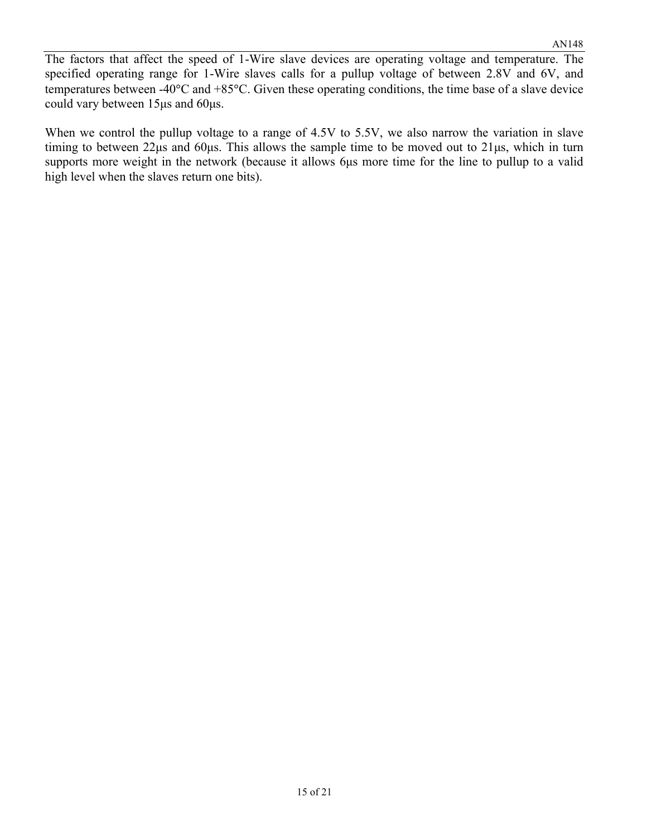The factors that affect the speed of 1-Wire slave devices are operating voltage and temperature. The specified operating range for 1-Wire slaves calls for a pullup voltage of between 2.8V and 6V, and temperatures between -40 $\degree$ C and +85 $\degree$ C. Given these operating conditions, the time base of a slave device could vary between 15µs and 60µs.

When we control the pullup voltage to a range of 4.5V to 5.5V, we also narrow the variation in slave timing to between 22µs and 60µs. This allows the sample time to be moved out to 21µs, which in turn supports more weight in the network (because it allows 6µs more time for the line to pullup to a valid high level when the slaves return one bits).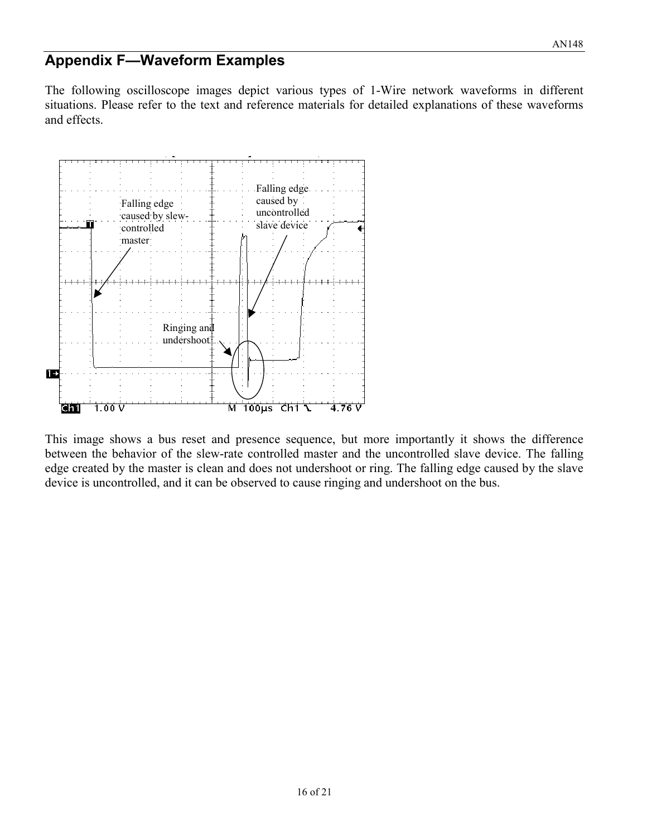## **Appendix F—Waveform Examples**

The following oscilloscope images depict various types of 1-Wire network waveforms in different situations. Please refer to the text and reference materials for detailed explanations of these waveforms and effects.



This image shows a bus reset and presence sequence, but more importantly it shows the difference between the behavior of the slew-rate controlled master and the uncontrolled slave device. The falling edge created by the master is clean and does not undershoot or ring. The falling edge caused by the slave device is uncontrolled, and it can be observed to cause ringing and undershoot on the bus.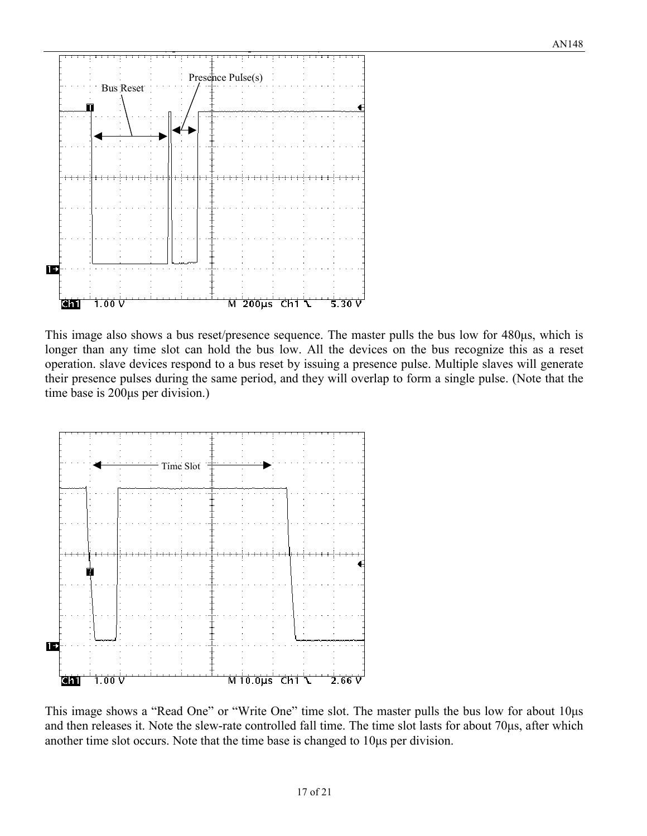

This image also shows a bus reset/presence sequence. The master pulls the bus low for 480 µs, which is longer than any time slot can hold the bus low. All the devices on the bus recognize this as a reset operation. slave devices respond to a bus reset by issuing a presence pulse. Multiple slaves will generate their presence pulses during the same period, and they will overlap to form a single pulse. (Note that the time base is 200µs per division.)



This image shows a "Read One" or "Write One" time slot. The master pulls the bus low for about 10µs and then releases it. Note the slew-rate controlled fall time. The time slot lasts for about 70µs, after which another time slot occurs. Note that the time base is changed to 10µs per division.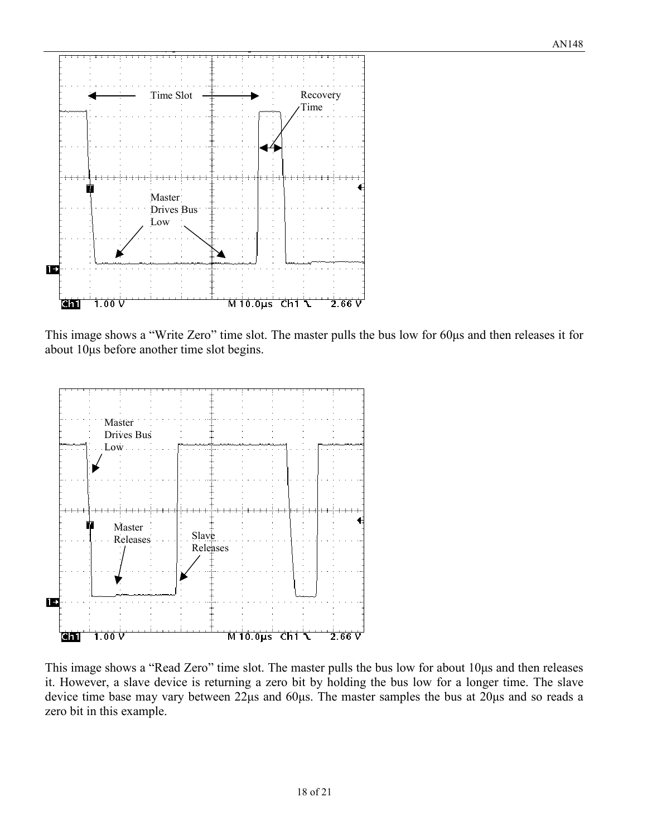

This image shows a "Write Zero" time slot. The master pulls the bus low for 60µs and then releases it for about 10µs before another time slot begins.



This image shows a "Read Zero" time slot. The master pulls the bus low for about 10µs and then releases it. However, a slave device is returning a zero bit by holding the bus low for a longer time. The slave device time base may vary between 22µs and 60µs. The master samples the bus at 20µs and so reads a zero bit in this example.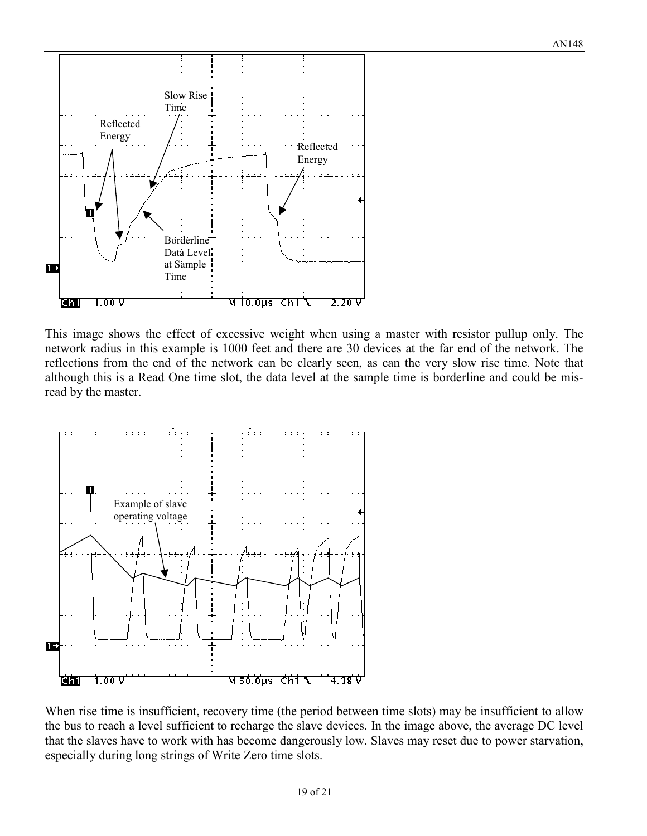

This image shows the effect of excessive weight when using a master with resistor pullup only. The network radius in this example is 1000 feet and there are 30 devices at the far end of the network. The reflections from the end of the network can be clearly seen, as can the very slow rise time. Note that although this is a Read One time slot, the data level at the sample time is borderline and could be misread by the master.



When rise time is insufficient, recovery time (the period between time slots) may be insufficient to allow the bus to reach a level sufficient to recharge the slave devices. In the image above, the average DC level that the slaves have to work with has become dangerously low. Slaves may reset due to power starvation, especially during long strings of Write Zero time slots.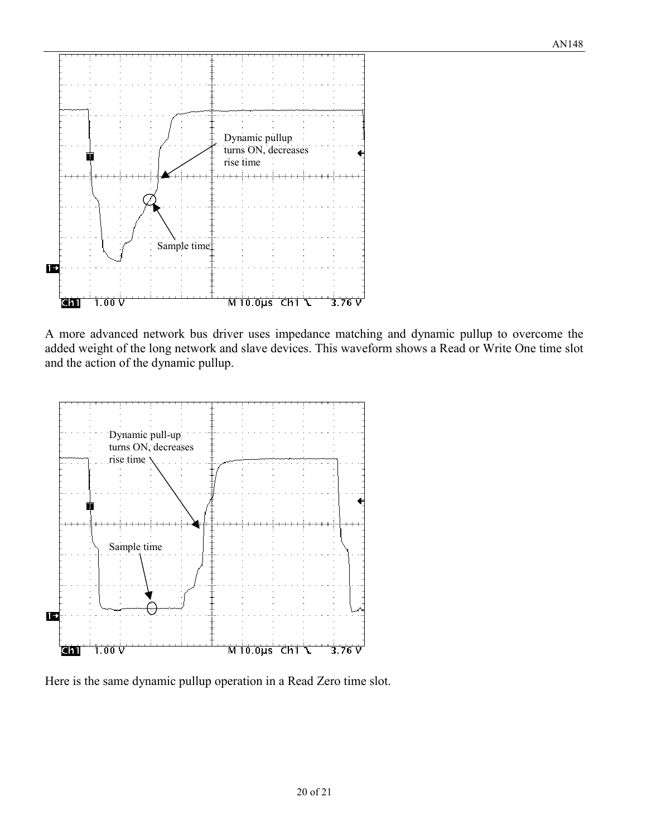

A more advanced network bus driver uses impedance matching and dynamic pullup to overcome the added weight of the long network and slave devices. This waveform shows a Read or Write One time slot and the action of the dynamic pullup.



Here is the same dynamic pullup operation in a Read Zero time slot.